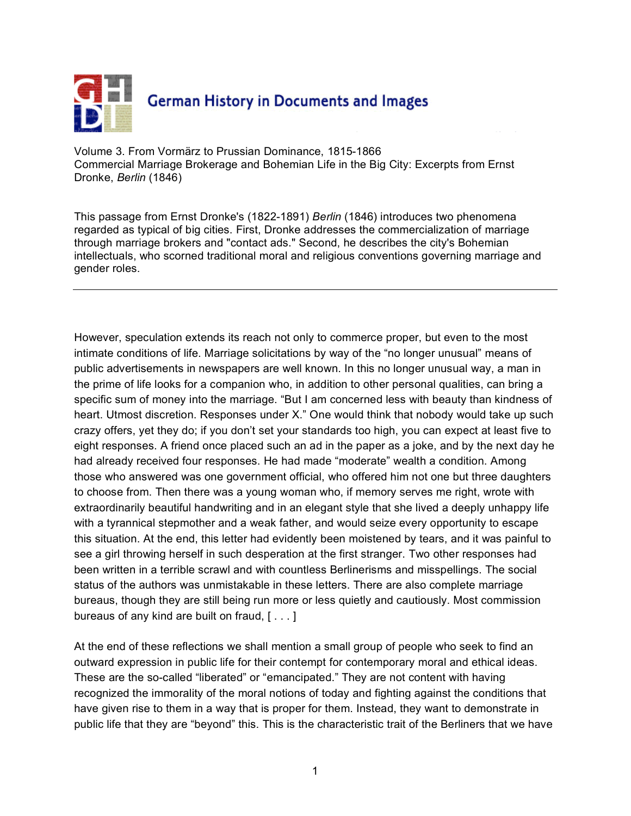

Volume 3. From Vormärz to Prussian Dominance, 1815-1866 Commercial Marriage Brokerage and Bohemian Life in the Big City: Excerpts from Ernst Dronke, *Berlin* (1846)

This passage from Ernst Dronke's (1822-1891) *Berlin* (1846) introduces two phenomena regarded as typical of big cities. First, Dronke addresses the commercialization of marriage through marriage brokers and "contact ads." Second, he describes the city's Bohemian intellectuals, who scorned traditional moral and religious conventions governing marriage and gender roles.

However, speculation extends its reach not only to commerce proper, but even to the most intimate conditions of life. Marriage solicitations by way of the "no longer unusual" means of public advertisements in newspapers are well known. In this no longer unusual way, a man in the prime of life looks for a companion who, in addition to other personal qualities, can bring a specific sum of money into the marriage. "But I am concerned less with beauty than kindness of heart. Utmost discretion. Responses under X." One would think that nobody would take up such crazy offers, yet they do; if you don't set your standards too high, you can expect at least five to eight responses. A friend once placed such an ad in the paper as a joke, and by the next day he had already received four responses. He had made "moderate" wealth a condition. Among those who answered was one government official, who offered him not one but three daughters to choose from. Then there was a young woman who, if memory serves me right, wrote with extraordinarily beautiful handwriting and in an elegant style that she lived a deeply unhappy life with a tyrannical stepmother and a weak father, and would seize every opportunity to escape this situation. At the end, this letter had evidently been moistened by tears, and it was painful to see a girl throwing herself in such desperation at the first stranger. Two other responses had been written in a terrible scrawl and with countless Berlinerisms and misspellings. The social status of the authors was unmistakable in these letters. There are also complete marriage bureaus, though they are still being run more or less quietly and cautiously. Most commission bureaus of any kind are built on fraud, [ . . . ]

At the end of these reflections we shall mention a small group of people who seek to find an outward expression in public life for their contempt for contemporary moral and ethical ideas. These are the so-called "liberated" or "emancipated." They are not content with having recognized the immorality of the moral notions of today and fighting against the conditions that have given rise to them in a way that is proper for them. Instead, they want to demonstrate in public life that they are "beyond" this. This is the characteristic trait of the Berliners that we have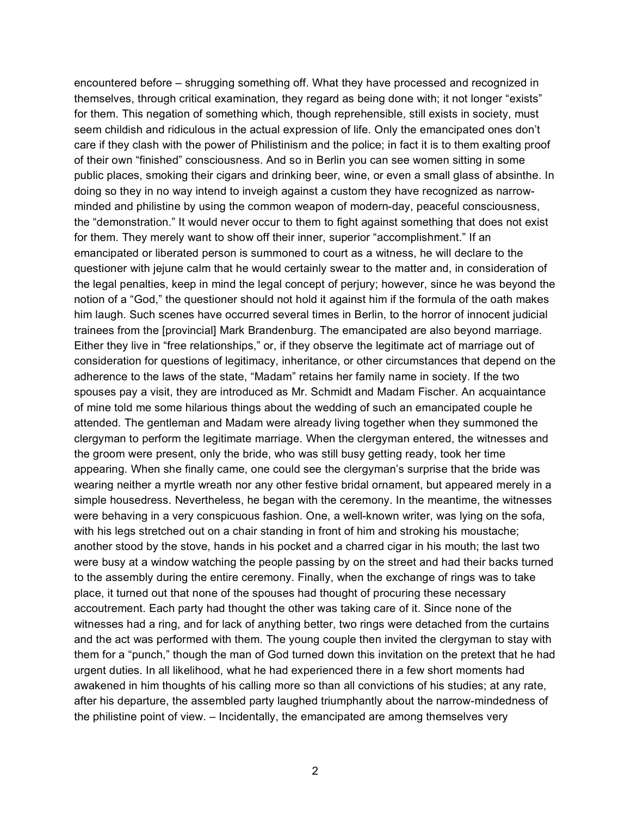encountered before – shrugging something off. What they have processed and recognized in themselves, through critical examination, they regard as being done with; it not longer "exists" for them. This negation of something which, though reprehensible, still exists in society, must seem childish and ridiculous in the actual expression of life. Only the emancipated ones don't care if they clash with the power of Philistinism and the police; in fact it is to them exalting proof of their own "finished" consciousness. And so in Berlin you can see women sitting in some public places, smoking their cigars and drinking beer, wine, or even a small glass of absinthe. In doing so they in no way intend to inveigh against a custom they have recognized as narrowminded and philistine by using the common weapon of modern-day, peaceful consciousness, the "demonstration." It would never occur to them to fight against something that does not exist for them. They merely want to show off their inner, superior "accomplishment." If an emancipated or liberated person is summoned to court as a witness, he will declare to the questioner with jejune calm that he would certainly swear to the matter and, in consideration of the legal penalties, keep in mind the legal concept of perjury; however, since he was beyond the notion of a "God," the questioner should not hold it against him if the formula of the oath makes him laugh. Such scenes have occurred several times in Berlin, to the horror of innocent judicial trainees from the [provincial] Mark Brandenburg. The emancipated are also beyond marriage. Either they live in "free relationships," or, if they observe the legitimate act of marriage out of consideration for questions of legitimacy, inheritance, or other circumstances that depend on the adherence to the laws of the state, "Madam" retains her family name in society. If the two spouses pay a visit, they are introduced as Mr. Schmidt and Madam Fischer. An acquaintance of mine told me some hilarious things about the wedding of such an emancipated couple he attended. The gentleman and Madam were already living together when they summoned the clergyman to perform the legitimate marriage. When the clergyman entered, the witnesses and the groom were present, only the bride, who was still busy getting ready, took her time appearing. When she finally came, one could see the clergyman's surprise that the bride was wearing neither a myrtle wreath nor any other festive bridal ornament, but appeared merely in a simple housedress. Nevertheless, he began with the ceremony. In the meantime, the witnesses were behaving in a very conspicuous fashion. One, a well-known writer, was lying on the sofa, with his legs stretched out on a chair standing in front of him and stroking his moustache; another stood by the stove, hands in his pocket and a charred cigar in his mouth; the last two were busy at a window watching the people passing by on the street and had their backs turned to the assembly during the entire ceremony. Finally, when the exchange of rings was to take place, it turned out that none of the spouses had thought of procuring these necessary accoutrement. Each party had thought the other was taking care of it. Since none of the witnesses had a ring, and for lack of anything better, two rings were detached from the curtains and the act was performed with them. The young couple then invited the clergyman to stay with them for a "punch," though the man of God turned down this invitation on the pretext that he had urgent duties. In all likelihood, what he had experienced there in a few short moments had awakened in him thoughts of his calling more so than all convictions of his studies; at any rate, after his departure, the assembled party laughed triumphantly about the narrow-mindedness of the philistine point of view. – Incidentally, the emancipated are among themselves very